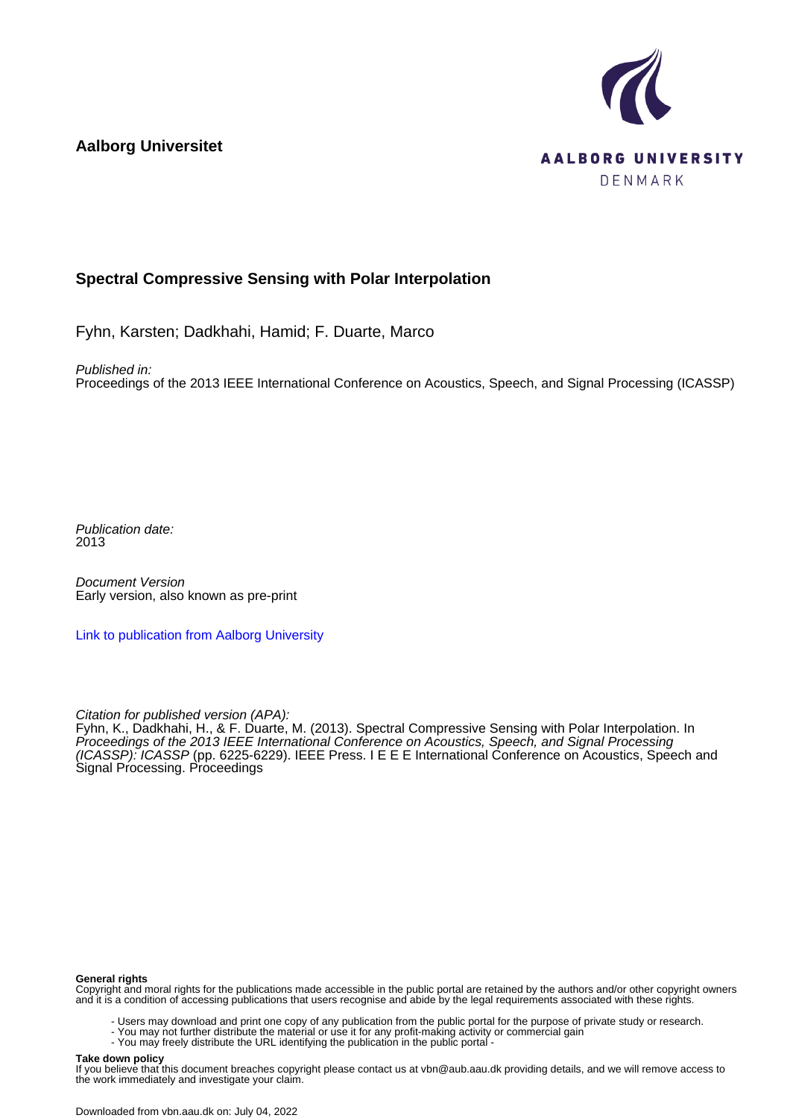**Aalborg Universitet**



# **Spectral Compressive Sensing with Polar Interpolation**

Fyhn, Karsten; Dadkhahi, Hamid; F. Duarte, Marco

Published in:

Proceedings of the 2013 IEEE International Conference on Acoustics, Speech, and Signal Processing (ICASSP)

Publication date: 2013

Document Version Early version, also known as pre-print

[Link to publication from Aalborg University](https://vbn.aau.dk/en/publications/ccefcdfc-1e0b-47f9-ab3f-b6bc0018e31b)

Citation for published version (APA):

Fyhn, K., Dadkhahi, H., & F. Duarte, M. (2013). Spectral Compressive Sensing with Polar Interpolation. In Proceedings of the 2013 IEEE International Conference on Acoustics, Speech, and Signal Processing (ICASSP): ICASSP (pp. 6225-6229). IEEE Press. I E E E International Conference on Acoustics, Speech and Signal Processing. Proceedings

#### **General rights**

Copyright and moral rights for the publications made accessible in the public portal are retained by the authors and/or other copyright owners and it is a condition of accessing publications that users recognise and abide by the legal requirements associated with these rights.

- Users may download and print one copy of any publication from the public portal for the purpose of private study or research.
- You may not further distribute the material or use it for any profit-making activity or commercial gain
	- You may freely distribute the URL identifying the publication in the public portal -

#### **Take down policy**

If you believe that this document breaches copyright please contact us at vbn@aub.aau.dk providing details, and we will remove access to the work immediately and investigate your claim.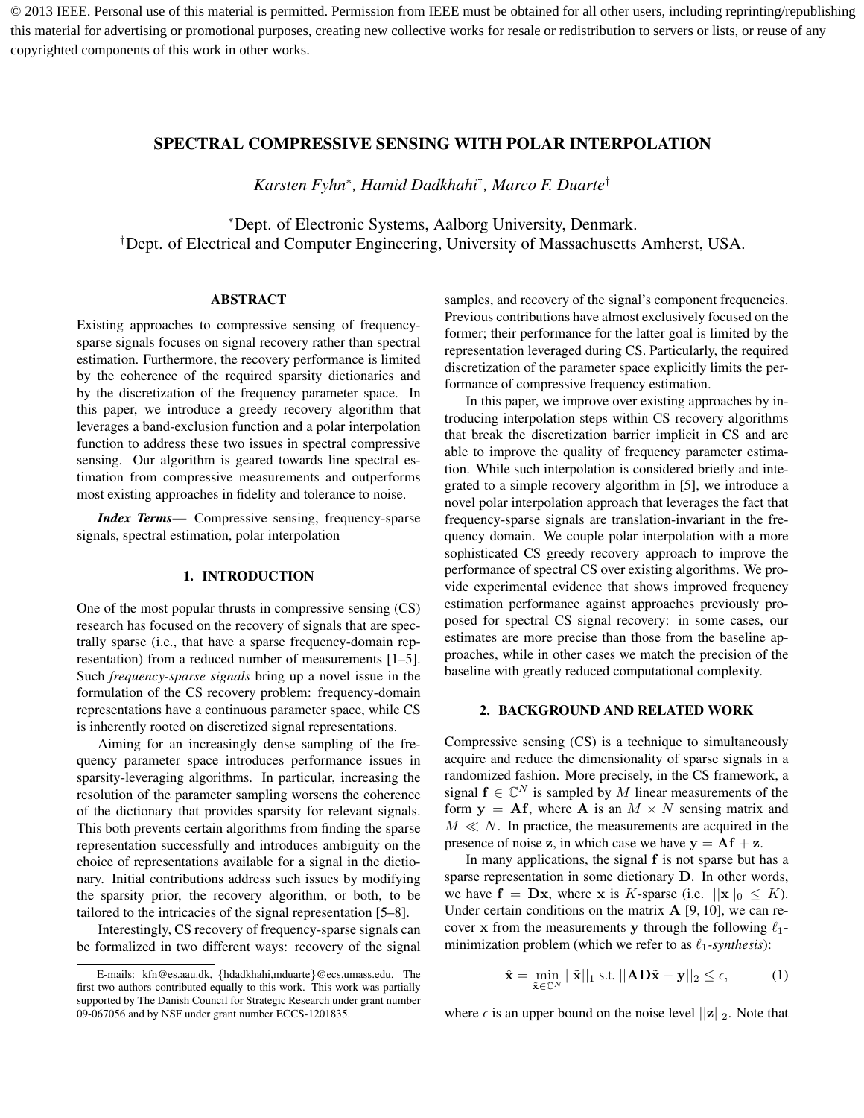© 2013 IEEE. Personal use of this material is permitted. Permission from IEEE must be obtained for all other users, including reprinting/republishing this material for advertising or promotional purposes, creating new collective works for resale or redistribution to servers or lists, or reuse of any copyrighted components of this work in other works.

# SPECTRAL COMPRESSIVE SENSING WITH POLAR INTERPOLATION

*Karsten Fyhn*<sup>∗</sup> *, Hamid Dadkhahi*† *, Marco F. Duarte*†

<sup>∗</sup>Dept. of Electronic Systems, Aalborg University, Denmark. †Dept. of Electrical and Computer Engineering, University of Massachusetts Amherst, USA.

### ABSTRACT

Existing approaches to compressive sensing of frequencysparse signals focuses on signal recovery rather than spectral estimation. Furthermore, the recovery performance is limited by the coherence of the required sparsity dictionaries and by the discretization of the frequency parameter space. In this paper, we introduce a greedy recovery algorithm that leverages a band-exclusion function and a polar interpolation function to address these two issues in spectral compressive sensing. Our algorithm is geared towards line spectral estimation from compressive measurements and outperforms most existing approaches in fidelity and tolerance to noise.

*Index Terms*— Compressive sensing, frequency-sparse signals, spectral estimation, polar interpolation

## 1. INTRODUCTION

One of the most popular thrusts in compressive sensing (CS) research has focused on the recovery of signals that are spectrally sparse (i.e., that have a sparse frequency-domain representation) from a reduced number of measurements [1–5]. Such *frequency-sparse signals* bring up a novel issue in the formulation of the CS recovery problem: frequency-domain representations have a continuous parameter space, while CS is inherently rooted on discretized signal representations.

Aiming for an increasingly dense sampling of the frequency parameter space introduces performance issues in sparsity-leveraging algorithms. In particular, increasing the resolution of the parameter sampling worsens the coherence of the dictionary that provides sparsity for relevant signals. This both prevents certain algorithms from finding the sparse representation successfully and introduces ambiguity on the choice of representations available for a signal in the dictionary. Initial contributions address such issues by modifying the sparsity prior, the recovery algorithm, or both, to be tailored to the intricacies of the signal representation [5–8].

Interestingly, CS recovery of frequency-sparse signals can be formalized in two different ways: recovery of the signal samples, and recovery of the signal's component frequencies. Previous contributions have almost exclusively focused on the former; their performance for the latter goal is limited by the representation leveraged during CS. Particularly, the required discretization of the parameter space explicitly limits the performance of compressive frequency estimation.

In this paper, we improve over existing approaches by introducing interpolation steps within CS recovery algorithms that break the discretization barrier implicit in CS and are able to improve the quality of frequency parameter estimation. While such interpolation is considered briefly and integrated to a simple recovery algorithm in [5], we introduce a novel polar interpolation approach that leverages the fact that frequency-sparse signals are translation-invariant in the frequency domain. We couple polar interpolation with a more sophisticated CS greedy recovery approach to improve the performance of spectral CS over existing algorithms. We provide experimental evidence that shows improved frequency estimation performance against approaches previously proposed for spectral CS signal recovery: in some cases, our estimates are more precise than those from the baseline approaches, while in other cases we match the precision of the baseline with greatly reduced computational complexity.

#### 2. BACKGROUND AND RELATED WORK

Compressive sensing (CS) is a technique to simultaneously acquire and reduce the dimensionality of sparse signals in a randomized fashion. More precisely, in the CS framework, a signal  $f \in \mathbb{C}^N$  is sampled by M linear measurements of the form  $y = Af$ , where A is an  $M \times N$  sensing matrix and  $M \ll N$ . In practice, the measurements are acquired in the presence of noise z, in which case we have  $y = Af + z$ .

In many applications, the signal f is not sparse but has a sparse representation in some dictionary D. In other words, we have  $f = Dx$ , where x is K-sparse (i.e.  $||x||_0 \le K$ ). Under certain conditions on the matrix  $A$  [9, 10], we can recover x from the measurements y through the following  $\ell_1$ minimization problem (which we refer to as  $\ell_1$ -synthesis):

$$
\hat{\mathbf{x}} = \min_{\tilde{\mathbf{x}} \in \mathbb{C}^N} ||\tilde{\mathbf{x}}||_1 \text{ s.t. } ||\mathbf{A}\mathbf{D}\tilde{\mathbf{x}} - \mathbf{y}||_2 \le \epsilon,
$$
 (1)

where  $\epsilon$  is an upper bound on the noise level  $||\mathbf{z}||_2$ . Note that

E-mails: kfn@es.aau.dk, {hdadkhahi,mduarte}@ecs.umass.edu. The first two authors contributed equally to this work. This work was partially supported by The Danish Council for Strategic Research under grant number 09-067056 and by NSF under grant number ECCS-1201835.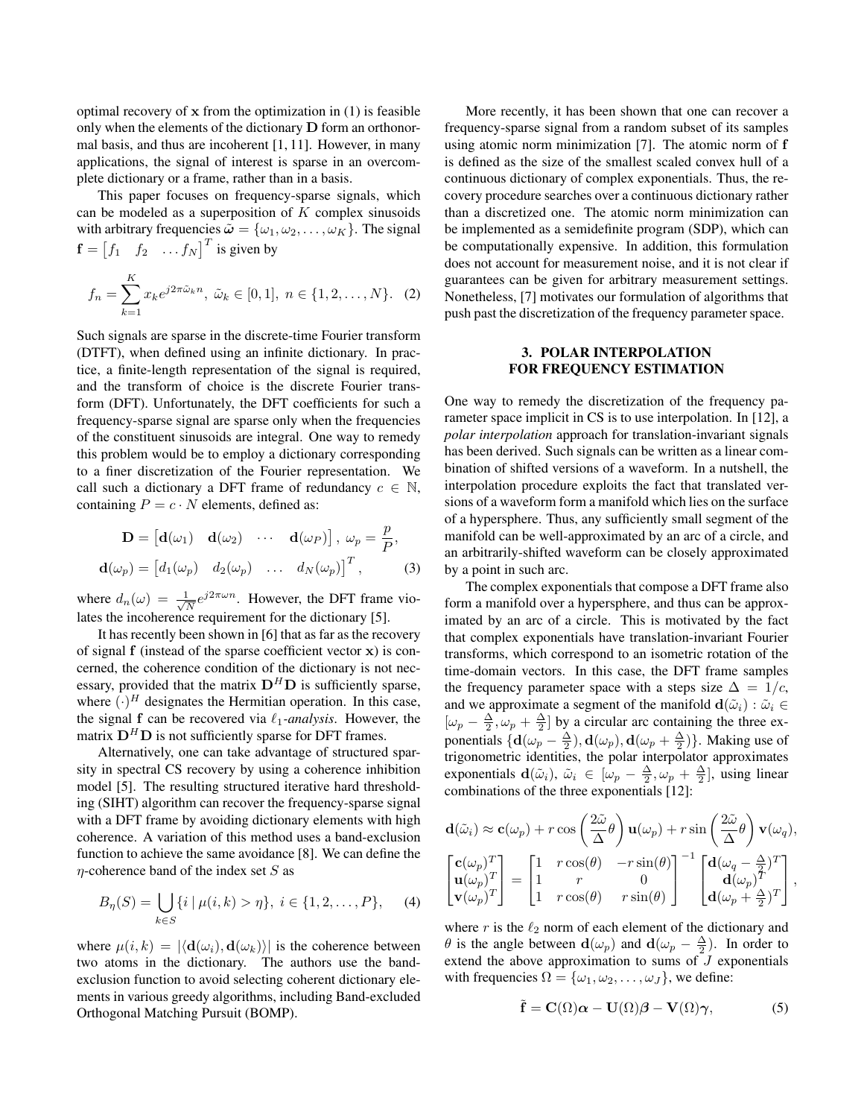optimal recovery of x from the optimization in (1) is feasible only when the elements of the dictionary D form an orthonormal basis, and thus are incoherent [1, 11]. However, in many applications, the signal of interest is sparse in an overcomplete dictionary or a frame, rather than in a basis.

This paper focuses on frequency-sparse signals, which can be modeled as a superposition of  $K$  complex sinusoids with arbitrary frequencies  $\tilde{\omega} = {\omega_1, \omega_2, \dots, \omega_K}$ . The signal  $\mathbf{f} = \begin{bmatrix} f_1 & f_2 & \dots & f_N \end{bmatrix}^T$  is given by

$$
f_n = \sum_{k=1}^{K} x_k e^{j2\pi \tilde{\omega}_k n}, \ \tilde{\omega}_k \in [0, 1], \ n \in \{1, 2, \dots, N\}.
$$
 (2)

Such signals are sparse in the discrete-time Fourier transform (DTFT), when defined using an infinite dictionary. In practice, a finite-length representation of the signal is required, and the transform of choice is the discrete Fourier transform (DFT). Unfortunately, the DFT coefficients for such a frequency-sparse signal are sparse only when the frequencies of the constituent sinusoids are integral. One way to remedy this problem would be to employ a dictionary corresponding to a finer discretization of the Fourier representation. We call such a dictionary a DFT frame of redundancy  $c \in \mathbb{N}$ , containing  $P = c \cdot N$  elements, defined as:

$$
\mathbf{D} = \begin{bmatrix} \mathbf{d}(\omega_1) & \mathbf{d}(\omega_2) & \cdots & \mathbf{d}(\omega_P) \end{bmatrix}, \ \omega_p = \frac{p}{P},
$$

$$
\mathbf{d}(\omega_p) = \begin{bmatrix} d_1(\omega_p) & d_2(\omega_p) & \cdots & d_N(\omega_p) \end{bmatrix}^T, \tag{3}
$$

where  $d_n(\omega) = \frac{1}{\sqrt{2}}$  $\frac{1}{N}e^{j2\pi\omega n}$ . However, the DFT frame violates the incoherence requirement for the dictionary [5].

It has recently been shown in [6] that as far as the recovery of signal  $f$  (instead of the sparse coefficient vector  $x$ ) is concerned, the coherence condition of the dictionary is not necessary, provided that the matrix  $D^H D$  is sufficiently sparse, where  $(\cdot)^H$  designates the Hermitian operation. In this case, the signal f can be recovered via  $\ell_1$ -*analysis*. However, the matrix  $D^H D$  is not sufficiently sparse for DFT frames.

Alternatively, one can take advantage of structured sparsity in spectral CS recovery by using a coherence inhibition model [5]. The resulting structured iterative hard thresholding (SIHT) algorithm can recover the frequency-sparse signal with a DFT frame by avoiding dictionary elements with high coherence. A variation of this method uses a band-exclusion function to achieve the same avoidance [8]. We can define the  $\eta$ -coherence band of the index set S as

$$
B_{\eta}(S) = \bigcup_{k \in S} \{i \mid \mu(i,k) > \eta\}, \ i \in \{1,2,\ldots,P\}, \tag{4}
$$

where  $\mu(i, k) = |\langle \mathbf{d}(\omega_i), \mathbf{d}(\omega_k)\rangle|$  is the coherence between two atoms in the dictionary. The authors use the bandexclusion function to avoid selecting coherent dictionary elements in various greedy algorithms, including Band-excluded Orthogonal Matching Pursuit (BOMP).

More recently, it has been shown that one can recover a frequency-sparse signal from a random subset of its samples using atomic norm minimization [7]. The atomic norm of f is defined as the size of the smallest scaled convex hull of a continuous dictionary of complex exponentials. Thus, the recovery procedure searches over a continuous dictionary rather than a discretized one. The atomic norm minimization can be implemented as a semidefinite program (SDP), which can be computationally expensive. In addition, this formulation does not account for measurement noise, and it is not clear if guarantees can be given for arbitrary measurement settings. Nonetheless, [7] motivates our formulation of algorithms that push past the discretization of the frequency parameter space.

# 3. POLAR INTERPOLATION FOR FREQUENCY ESTIMATION

One way to remedy the discretization of the frequency parameter space implicit in CS is to use interpolation. In [12], a *polar interpolation* approach for translation-invariant signals has been derived. Such signals can be written as a linear combination of shifted versions of a waveform. In a nutshell, the interpolation procedure exploits the fact that translated versions of a waveform form a manifold which lies on the surface of a hypersphere. Thus, any sufficiently small segment of the manifold can be well-approximated by an arc of a circle, and an arbitrarily-shifted waveform can be closely approximated by a point in such arc.

The complex exponentials that compose a DFT frame also form a manifold over a hypersphere, and thus can be approximated by an arc of a circle. This is motivated by the fact that complex exponentials have translation-invariant Fourier transforms, which correspond to an isometric rotation of the time-domain vectors. In this case, the DFT frame samples the frequency parameter space with a steps size  $\Delta = 1/c$ , and we approximate a segment of the manifold  $\mathbf{d}(\tilde{\omega}_i) : \tilde{\omega}_i \in$  $[\omega_p - \frac{\Delta}{2}, \omega_p + \frac{\Delta}{2}]$  by a circular arc containing the three exponentials  $\{d(\omega_p - \frac{\Delta}{2}), d(\omega_p), d(\omega_p + \frac{\Delta}{2})\}$ . Making use of trigonometric identities, the polar interpolator approximates exponentials  $\mathbf{d}(\tilde{\omega}_i)$ ,  $\tilde{\omega}_i \in [\omega_p - \frac{\Delta}{2}, \omega_p + \frac{\Delta}{2}]$ , using linear combinations of the three exponentials [12]:

$$
\mathbf{d}(\tilde{\omega}_{i}) \approx \mathbf{c}(\omega_{p}) + r \cos\left(\frac{2\tilde{\omega}}{\Delta}\theta\right) \mathbf{u}(\omega_{p}) + r \sin\left(\frac{2\tilde{\omega}}{\Delta}\theta\right) \mathbf{v}(\omega_{q}),
$$
\n
$$
\begin{bmatrix}\n\mathbf{c}(\omega_{p})^{T} \\
\mathbf{u}(\omega_{p})^{T} \\
\mathbf{v}(\omega_{p})^{T}\n\end{bmatrix} = \begin{bmatrix}\n1 & r \cos(\theta) & -r \sin(\theta) \\
1 & r & 0 \\
1 & r \cos(\theta) & r \sin(\theta)\n\end{bmatrix}^{-1} \begin{bmatrix}\n\mathbf{d}(\omega_{q} - \frac{\Delta}{T})^{T} \\
\mathbf{d}(\omega_{p})^{T} \\
\mathbf{d}(\omega_{p} + \frac{\Delta}{2})^{T}\n\end{bmatrix},
$$

where r is the  $\ell_2$  norm of each element of the dictionary and  $\theta$  is the angle between  $\mathbf{d}(\omega_p)$  and  $\mathbf{d}(\omega_p - \frac{\Delta}{2})$ . In order to extend the above approximation to sums of  $J$  exponentials with frequencies  $\Omega = {\omega_1, \omega_2, \dots, \omega_J}$ , we define:

$$
\tilde{\mathbf{f}} = \mathbf{C}(\Omega)\boldsymbol{\alpha} - \mathbf{U}(\Omega)\boldsymbol{\beta} - \mathbf{V}(\Omega)\boldsymbol{\gamma},
$$
 (5)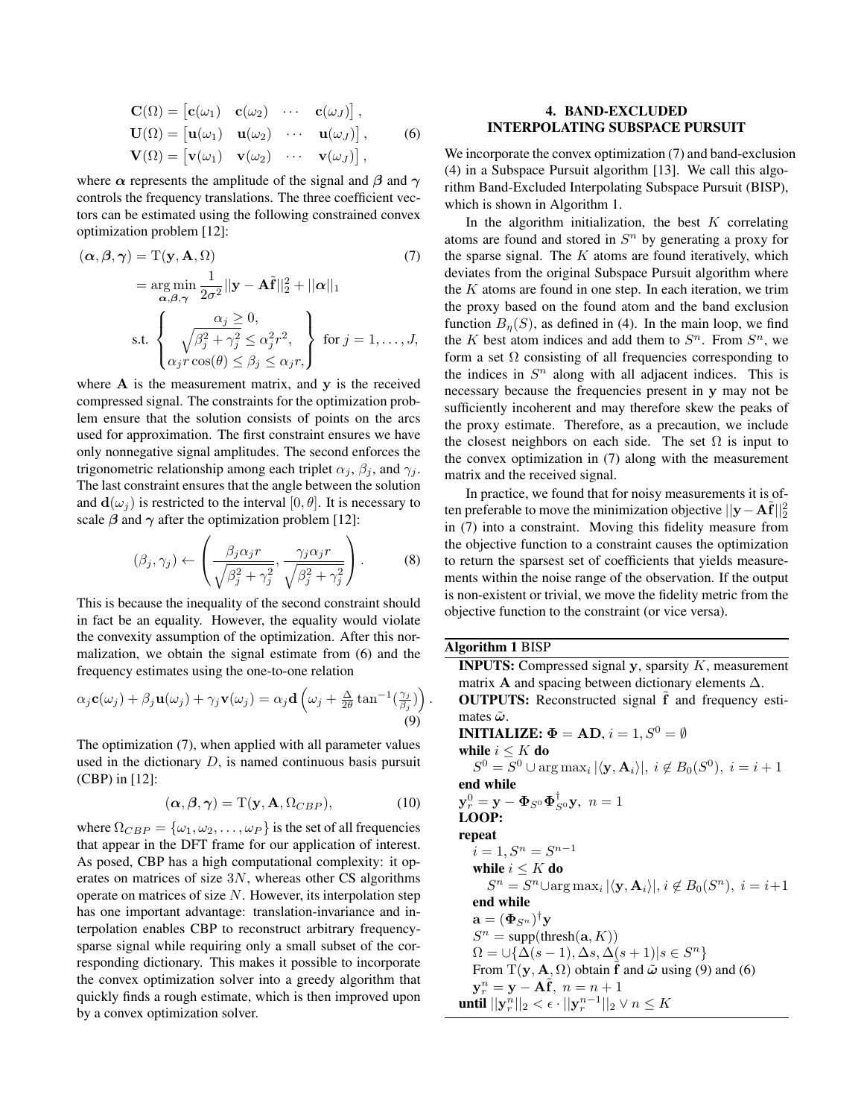$$
\mathbf{C}(\Omega) = \begin{bmatrix} \mathbf{c}(\omega_1) & \mathbf{c}(\omega_2) & \cdots & \mathbf{c}(\omega_J) \end{bmatrix},
$$
  
\n
$$
\mathbf{U}(\Omega) = \begin{bmatrix} \mathbf{u}(\omega_1) & \mathbf{u}(\omega_2) & \cdots & \mathbf{u}(\omega_J) \end{bmatrix},
$$
  
\n
$$
\mathbf{V}(\Omega) = \begin{bmatrix} \mathbf{v}(\omega_1) & \mathbf{v}(\omega_2) & \cdots & \mathbf{v}(\omega_J) \end{bmatrix},
$$
  
\n(6)

where  $\alpha$  represents the amplitude of the signal and  $\beta$  and  $\gamma$ controls the frequency translations. The three coefficient vectors can be estimated using the following constrained convex optimization problem [12]:

$$
(\boldsymbol{\alpha}, \boldsymbol{\beta}, \boldsymbol{\gamma}) = \mathbf{T}(\mathbf{y}, \mathbf{A}, \Omega)
$$
(7)  
= 
$$
\underset{\boldsymbol{\alpha}, \boldsymbol{\beta}, \boldsymbol{\gamma}}{\arg \min} \frac{1}{2\sigma^2} ||\mathbf{y} - \mathbf{A}\tilde{\mathbf{f}}||_2^2 + ||\boldsymbol{\alpha}||_1
$$
  
s.t. 
$$
\begin{cases} \frac{\alpha_j \ge 0}{\sqrt{\beta_j^2 + \gamma_j^2} \le \alpha_j^2 r^2}, \\ \alpha_j r \cos(\theta) \le \beta_j \le \alpha_j r, \end{cases}
$$
 for  $j = 1, ..., J$ ,

where  $A$  is the measurement matrix, and  $v$  is the received compressed signal. The constraints for the optimization problem ensure that the solution consists of points on the arcs used for approximation. The first constraint ensures we have only nonnegative signal amplitudes. The second enforces the trigonometric relationship among each triplet  $\alpha_j$ ,  $\beta_j$ , and  $\gamma_j$ . The last constraint ensures that the angle between the solution and  $\mathbf{d}(\omega_i)$  is restricted to the interval [0,  $\theta$ ]. It is necessary to scale  $\beta$  and  $\gamma$  after the optimization problem [12]:

$$
(\beta_j, \gamma_j) \leftarrow \left( \frac{\beta_j \alpha_j r}{\sqrt{\beta_j^2 + \gamma_j^2}}, \frac{\gamma_j \alpha_j r}{\sqrt{\beta_j^2 + \gamma_j^2}} \right). \tag{8}
$$

This is because the inequality of the second constraint should in fact be an equality. However, the equality would violate the convexity assumption of the optimization. After this normalization, we obtain the signal estimate from (6) and the frequency estimates using the one-to-one relation

$$
\alpha_j \mathbf{c}(\omega_j) + \beta_j \mathbf{u}(\omega_j) + \gamma_j \mathbf{v}(\omega_j) = \alpha_j \mathbf{d} \left( \omega_j + \frac{\Delta}{2\theta} \tan^{-1}(\frac{\gamma_j}{\beta_j}) \right)
$$
\n(9)

The optimization (7), when applied with all parameter values used in the dictionary  $D$ , is named continuous basis pursuit (CBP) in [12]:

$$
(\alpha, \beta, \gamma) = \mathcal{T}(\mathbf{y}, \mathbf{A}, \Omega_{CBP}), \tag{10}
$$

.

where  $\Omega_{CBP} = {\omega_1, \omega_2, \dots, \omega_P}$  is the set of all frequencies that appear in the DFT frame for our application of interest. As posed, CBP has a high computational complexity: it operates on matrices of size  $3N$ , whereas other CS algorithms operate on matrices of size  $N$ . However, its interpolation step has one important advantage: translation-invariance and interpolation enables CBP to reconstruct arbitrary frequencysparse signal while requiring only a small subset of the corresponding dictionary. This makes it possible to incorporate the convex optimization solver into a greedy algorithm that quickly finds a rough estimate, which is then improved upon by a convex optimization solver.

# 4. BAND-EXCLUDED INTERPOLATING SUBSPACE PURSUIT

We incorporate the convex optimization (7) and band-exclusion (4) in a Subspace Pursuit algorithm [13]. We call this algorithm Band-Excluded Interpolating Subspace Pursuit (BISP), which is shown in Algorithm 1.

In the algorithm initialization, the best  $K$  correlating atoms are found and stored in  $S<sup>n</sup>$  by generating a proxy for the sparse signal. The  $K$  atoms are found iteratively, which deviates from the original Subspace Pursuit algorithm where the  $K$  atoms are found in one step. In each iteration, we trim the proxy based on the found atom and the band exclusion function  $B_n(S)$ , as defined in (4). In the main loop, we find the K best atom indices and add them to  $S<sup>n</sup>$ . From  $S<sup>n</sup>$ , we form a set  $\Omega$  consisting of all frequencies corresponding to the indices in  $S<sup>n</sup>$  along with all adjacent indices. This is necessary because the frequencies present in y may not be sufficiently incoherent and may therefore skew the peaks of the proxy estimate. Therefore, as a precaution, we include the closest neighbors on each side. The set  $\Omega$  is input to the convex optimization in (7) along with the measurement matrix and the received signal.

In practice, we found that for noisy measurements it is often preferable to move the minimization objective  $||\mathbf{y} - \mathbf{A}\tilde{\mathbf{f}}||_2^2$ in (7) into a constraint. Moving this fidelity measure from the objective function to a constraint causes the optimization to return the sparsest set of coefficients that yields measurements within the noise range of the observation. If the output is non-existent or trivial, we move the fidelity metric from the objective function to the constraint (or vice versa).

| <b>Algorithm 1 BISP</b>                                                                                |  |  |  |
|--------------------------------------------------------------------------------------------------------|--|--|--|
| <b>INPUTS:</b> Compressed signal $y$ , sparsity $K$ , measurement                                      |  |  |  |
| matrix <b>A</b> and spacing between dictionary elements $\Delta$ .                                     |  |  |  |
| <b>OUTPUTS:</b> Reconstructed signal f and frequency esti-                                             |  |  |  |
| mates $\tilde{\omega}$ .                                                                               |  |  |  |
| <b>INITIALIZE:</b> $\Phi = AD$ , $i = 1, S^0 = \emptyset$                                              |  |  |  |
| while $i \leq K$ do                                                                                    |  |  |  |
| $S^0 = S^0 \cup \arg \max_i  \langle \mathbf{y}, \mathbf{A}_i \rangle , i \notin B_0(S^0), i = i + 1$  |  |  |  |
| end while                                                                                              |  |  |  |
| $\mathbf{y}_r^0 = \mathbf{y} - \mathbf{\Phi}_{S^0} \mathbf{\Phi}_{S^0}^{\dagger} \mathbf{y}, \; n = 1$ |  |  |  |
| LOOP:                                                                                                  |  |  |  |
| repeat                                                                                                 |  |  |  |
| $i = 1, S^n = S^{n-1}$                                                                                 |  |  |  |
| while $i \leq K$ do                                                                                    |  |  |  |
| $S^n = S^n \cup \arg \max_i  \langle \mathbf{y}, \mathbf{A}_i \rangle , i \notin B_0(S^n), i = i+1$    |  |  |  |
| end while                                                                                              |  |  |  |
| $\mathbf{a} = (\mathbf{\Phi}_{S^n})^{\dagger} \mathbf{y}$                                              |  |  |  |
| $S^n = \text{supp}(\text{thresh}(a, K))$                                                               |  |  |  |
| $\Omega = \cup \{ \Delta(s-1), \Delta s, \Delta(s+1)   s \in S^n \}$                                   |  |  |  |
| From T(y, A, $\Omega$ ) obtain f and $\tilde{\omega}$ using (9) and (6)                                |  |  |  |
| $y_r^n = y - Af, n = n + 1$                                                                            |  |  |  |
| <b>until</b> $  y_r^n  _2 < \epsilon \cdot   y_r^{n-1}  _2 \vee n \leq K$                              |  |  |  |
|                                                                                                        |  |  |  |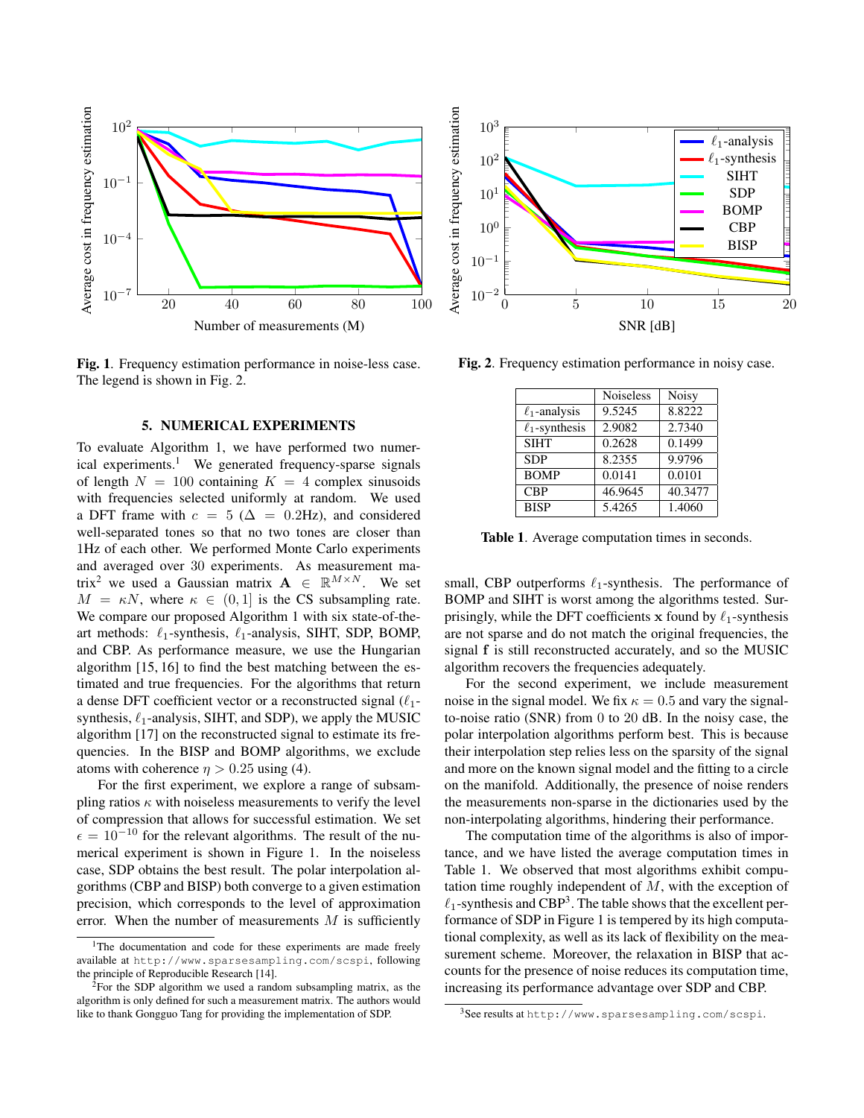

Fig. 1. Frequency estimation performance in noise-less case. The legend is shown in Fig. 2.

#### 5. NUMERICAL EXPERIMENTS

To evaluate Algorithm 1, we have performed two numerical experiments.<sup>1</sup> We generated frequency-sparse signals of length  $N = 100$  containing  $K = 4$  complex sinusoids with frequencies selected uniformly at random. We used a DFT frame with  $c = 5$  ( $\Delta = 0.2$ Hz), and considered well-separated tones so that no two tones are closer than 1Hz of each other. We performed Monte Carlo experiments and averaged over 30 experiments. As measurement matrix<sup>2</sup> we used a Gaussian matrix  $A \in \mathbb{R}^{M \times N}$ . We set  $M = \kappa N$ , where  $\kappa \in (0, 1]$  is the CS subsampling rate. We compare our proposed Algorithm 1 with six state-of-theart methods:  $\ell_1$ -synthesis,  $\ell_1$ -analysis, SIHT, SDP, BOMP, and CBP. As performance measure, we use the Hungarian algorithm [15, 16] to find the best matching between the estimated and true frequencies. For the algorithms that return a dense DFT coefficient vector or a reconstructed signal  $(\ell_1$ synthesis,  $\ell_1$ -analysis, SIHT, and SDP), we apply the MUSIC algorithm [17] on the reconstructed signal to estimate its frequencies. In the BISP and BOMP algorithms, we exclude atoms with coherence  $\eta > 0.25$  using (4).

For the first experiment, we explore a range of subsampling ratios  $\kappa$  with noiseless measurements to verify the level of compression that allows for successful estimation. We set  $\epsilon = 10^{-10}$  for the relevant algorithms. The result of the numerical experiment is shown in Figure 1. In the noiseless case, SDP obtains the best result. The polar interpolation algorithms (CBP and BISP) both converge to a given estimation precision, which corresponds to the level of approximation error. When the number of measurements  $M$  is sufficiently



Fig. 2. Frequency estimation performance in noisy case.

|                     | <b>Noiseless</b> | <b>Noisy</b> |
|---------------------|------------------|--------------|
| $\ell_1$ -analysis  | 9.5245           | 8.8222       |
| $\ell_1$ -synthesis | 2.9082           | 2.7340       |
| <b>SIHT</b>         | 0.2628           | 0.1499       |
| <b>SDP</b>          | 8.2355           | 9.9796       |
| <b>BOMP</b>         | 0.0141           | 0.0101       |
| <b>CBP</b>          | 46.9645          | 40.3477      |
| <b>BISP</b>         | 5.4265           | 1.4060       |

Table 1. Average computation times in seconds.

small, CBP outperforms  $\ell_1$ -synthesis. The performance of BOMP and SIHT is worst among the algorithms tested. Surprisingly, while the DFT coefficients x found by  $\ell_1$ -synthesis are not sparse and do not match the original frequencies, the signal f is still reconstructed accurately, and so the MUSIC algorithm recovers the frequencies adequately.

For the second experiment, we include measurement noise in the signal model. We fix  $\kappa = 0.5$  and vary the signalto-noise ratio (SNR) from 0 to 20 dB. In the noisy case, the polar interpolation algorithms perform best. This is because their interpolation step relies less on the sparsity of the signal and more on the known signal model and the fitting to a circle on the manifold. Additionally, the presence of noise renders the measurements non-sparse in the dictionaries used by the non-interpolating algorithms, hindering their performance.

The computation time of the algorithms is also of importance, and we have listed the average computation times in Table 1. We observed that most algorithms exhibit computation time roughly independent of M, with the exception of  $\ell_1$ -synthesis and CBP<sup>3</sup>. The table shows that the excellent performance of SDP in Figure 1 is tempered by its high computational complexity, as well as its lack of flexibility on the measurement scheme. Moreover, the relaxation in BISP that accounts for the presence of noise reduces its computation time, increasing its performance advantage over SDP and CBP.

<sup>&</sup>lt;sup>1</sup>The documentation and code for these experiments are made freely available at http://www.sparsesampling.com/scspi, following the principle of Reproducible Research [14].

 $2$ For the SDP algorithm we used a random subsampling matrix, as the algorithm is only defined for such a measurement matrix. The authors would like to thank Gongguo Tang for providing the implementation of SDP.

<sup>3</sup>See results at http://www.sparsesampling.com/scspi.